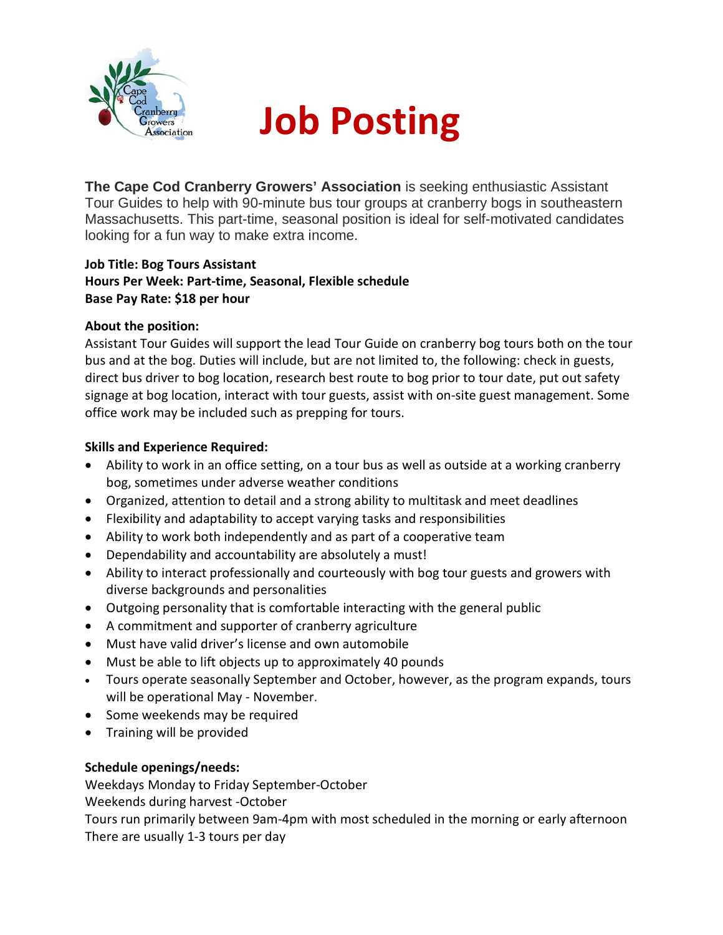

## **Job Posting**

**The Cape Cod Cranberry Growers' Association** is seeking enthusiastic Assistant Tour Guides to help with 90-minute bus tour groups at cranberry bogs in southeastern Massachusetts. This part-time, seasonal position is ideal for self-motivated candidates looking for a fun way to make extra income.

## **Job Title: Bog Tours Assistant Hours Per Week: Part-time, Seasonal, Flexible schedule Base Pay Rate: \$18 per hour**

#### **About the position:**

Assistant Tour Guides will support the lead Tour Guide on cranberry bog tours both on the tour bus and at the bog. Duties will include, but are not limited to, the following: check in guests, direct bus driver to bog location, research best route to bog prior to tour date, put out safety signage at bog location, interact with tour guests, assist with on-site guest management. Some office work may be included such as prepping for tours.

## **Skills and Experience Required:**

- Ability to work in an office setting, on a tour bus as well as outside at a working cranberry bog, sometimes under adverse weather conditions
- Organized, attention to detail and a strong ability to multitask and meet deadlines
- Flexibility and adaptability to accept varying tasks and responsibilities
- Ability to work both independently and as part of a cooperative team
- Dependability and accountability are absolutely a must!
- Ability to interact professionally and courteously with bog tour guests and growers with diverse backgrounds and personalities
- Outgoing personality that is comfortable interacting with the general public
- A commitment and supporter of cranberry agriculture
- Must have valid driver's license and own automobile
- Must be able to lift objects up to approximately 40 pounds
- Tours operate seasonally September and October, however, as the program expands, tours will be operational May - November.
- Some weekends may be required
- Training will be provided

## **Schedule openings/needs:**

Weekdays Monday to Friday September-October

Weekends during harvest -October

Tours run primarily between 9am-4pm with most scheduled in the morning or early afternoon There are usually 1-3 tours per day